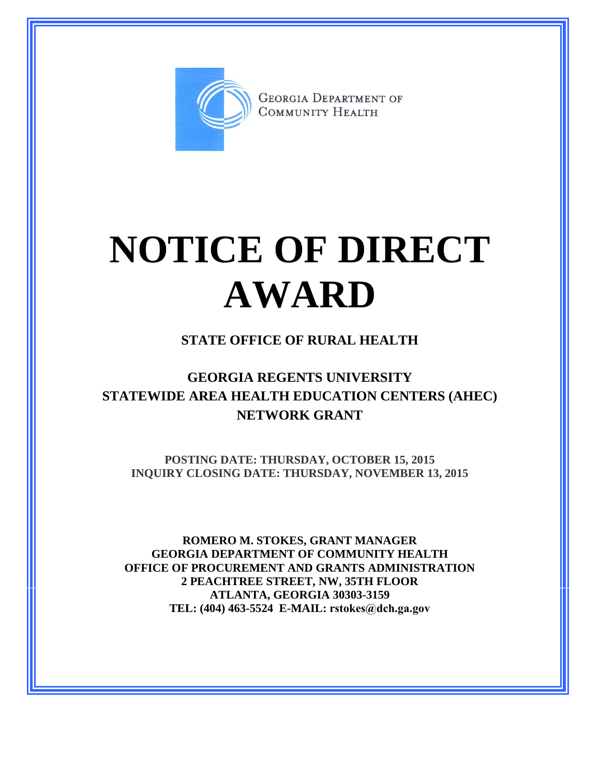

**GEORGIA DEPARTMENT OF** COMMUNITY HEALTH

# **NOTICE OF DIRECT AWARD**

### **STATE OFFICE OF RURAL HEALTH**

## **GEORGIA REGENTS UNIVERSITY STATEWIDE AREA HEALTH EDUCATION CENTERS (AHEC) NETWORK GRANT**

**POSTING DATE: THURSDAY, OCTOBER 15, 2015 INQUIRY CLOSING DATE: THURSDAY, NOVEMBER 13, 2015**

**ROMERO M. STOKES, GRANT MANAGER GEORGIA DEPARTMENT OF COMMUNITY HEALTH OFFICE OF PROCUREMENT AND GRANTS ADMINISTRATION 2 PEACHTREE STREET, NW, 35TH FLOOR ATLANTA, GEORGIA 30303-3159 TEL: (404) 463-5524 E-MAIL: rstokes@dch.ga.gov**